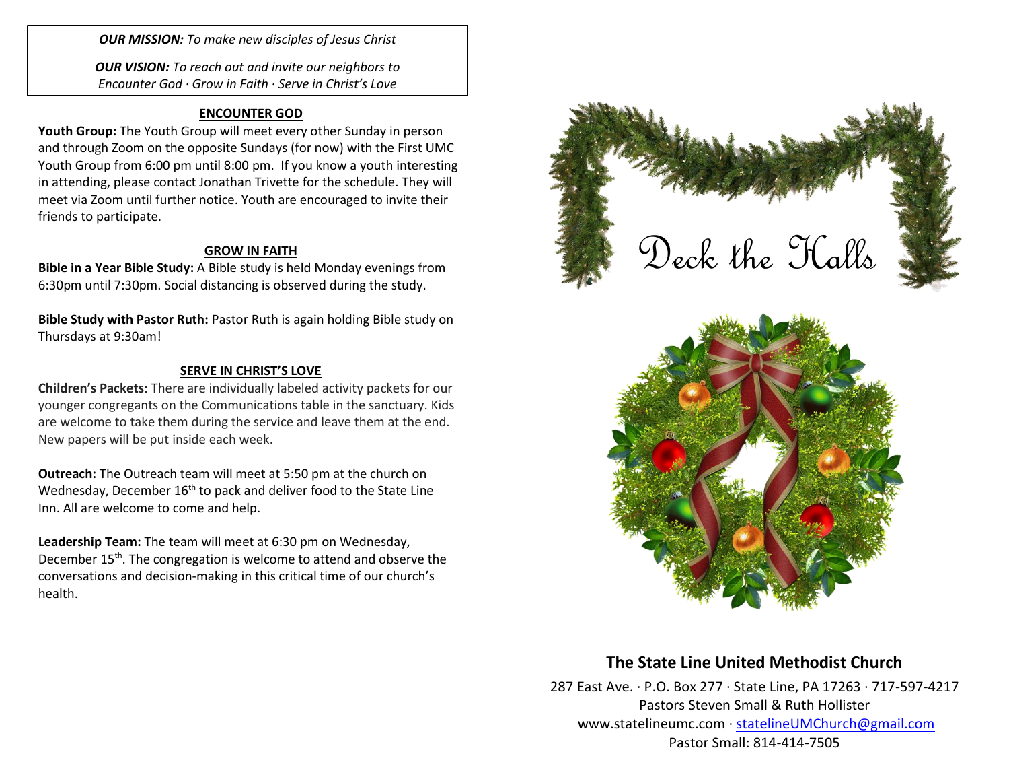*OUR MISSION: To make new disciples of Jesus Christ*

*OUR VISION: To reach out and invite our neighbors to Encounter God · Grow in Faith · Serve in Christ's Love*

### **ENCOUNTER GOD**

**Youth Group:** The Youth Group will meet every other Sunday in person and through Zoom on the opposite Sundays (for now) with the First UMC Youth Group from 6:00 pm until 8:00 pm. If you know a youth interesting in attending, please contact Jonathan Trivette for the schedule. They will meet via Zoom until further notice. Youth are encouraged to invite their friends to participate.

### **GROW IN FAITH**

**Bible in a Year Bible Study:** A Bible study is held Monday evenings from 6:30pm until 7:30pm. Social distancing is observed during the study.

**Bible Study with Pastor Ruth:** Pastor Ruth is again holding Bible study on Thursdays at 9:30am!

### **SERVE IN CHRIST'S LOVE**

**Children's Packets:** There are individually labeled activity packets for our younger congregants on the Communications table in the sanctuary. Kids are welcome to take them during the service and leave them at the end. New papers will be put inside each week.

**Outreach:** The Outreach team will meet at 5:50 pm at the church on Wednesday, December 16<sup>th</sup> to pack and deliver food to the State Line Inn. All are welcome to come and help.

**Leadership Team:** The team will meet at 6:30 pm on Wednesday, December 15<sup>th</sup>. The congregation is welcome to attend and observe the conversations and decision-making in this critical time of our church's health.



# **The State Line United Methodist Church**

287 East Ave. · P.O. Box 277 · State Line, PA 17263 · 717-597-4217 Pastors Steven Small & Ruth Hollister [www.statelineumc.com](http://www.statelineumc.com/) · [statelineUMChurch@gmail.com](mailto:statelineUMChurch@gmail.com) Pastor Small: 814-414-7505